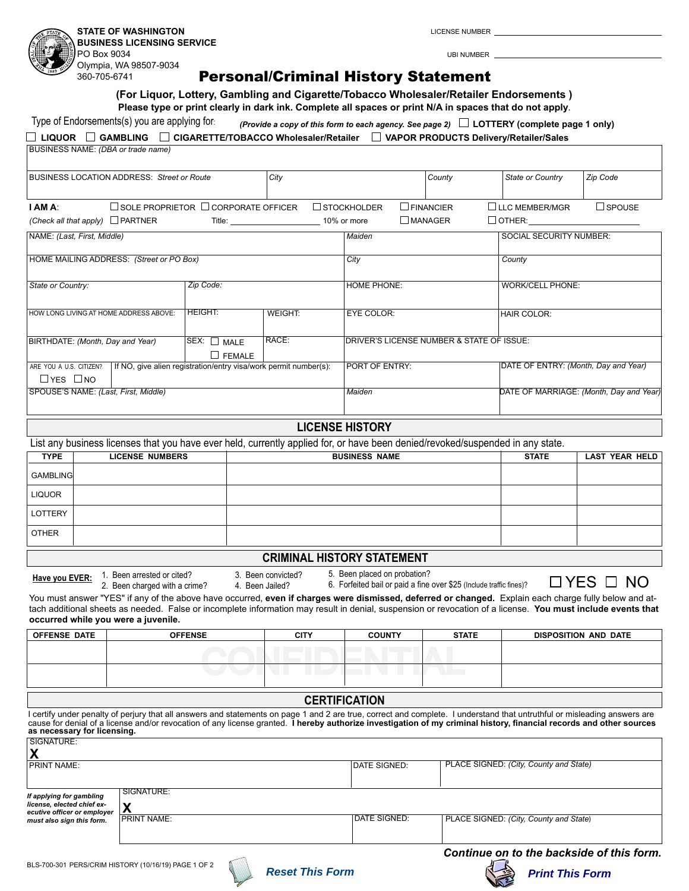**STATE OF WASHINGTON**

360-705-6741

**BUSINESS LICENSING SERVICE** PO Box 9034 Olympia, WA 98507-9034

LICENSE NUMBER

UBI NUMBER

## Personal/Criminal History Statement

**(For Liquor, Lottery, Gambling and Cigarette/Tobacco Wholesaler/Retailer Endorsements ) Please type or print clearly in dark ink. Complete all spaces or print N/A in spaces that do not apply**.

| Type of Endorsements(s) you are applying for                                                                                         |                                                 |                    | (Provide a copy of this form to each agency. See page 2) $\Box$ LOTTERY (complete page 1 only) |                         |                                         |                                      |  |  |
|--------------------------------------------------------------------------------------------------------------------------------------|-------------------------------------------------|--------------------|------------------------------------------------------------------------------------------------|-------------------------|-----------------------------------------|--------------------------------------|--|--|
| $\Box$ LIQUOR $\;\;\Box$ GAMBLING $\;\;\Box$ CIGARETTE/TOBACCO Wholesaler/Retailer $\;\;\Box$ VAPOR PRODUCTS Delivery/Retailer/Sales |                                                 |                    |                                                                                                |                         |                                         |                                      |  |  |
| BUSINESS NAME: (DBA or trade name)                                                                                                   |                                                 |                    |                                                                                                |                         |                                         |                                      |  |  |
|                                                                                                                                      |                                                 |                    |                                                                                                |                         |                                         |                                      |  |  |
| <b>BUSINESS LOCATION ADDRESS: Street or Route</b>                                                                                    | City                                            |                    | County                                                                                         | State or Country        | Zip Code                                |                                      |  |  |
|                                                                                                                                      |                                                 |                    |                                                                                                |                         |                                         |                                      |  |  |
| <b>I AM A:</b>                                                                                                                       | $\Box$ SOLE PROPRIETOR $\Box$ CORPORATE OFFICER |                    | $\Box$ STOCKHOLDER                                                                             | $\Box$ FINANCIER        | $\Box$ LLC MEMBER/MGR                   | $\square$ SPOUSE                     |  |  |
| $\Box$ OTHER:<br>$\square$ MANAGER<br>(Check all that apply) $\Box$ PARTNER<br>10% or more                                           |                                                 |                    |                                                                                                |                         |                                         |                                      |  |  |
| NAME: (Last, First, Middle)                                                                                                          |                                                 |                    | Maiden                                                                                         |                         | <b>SOCIAL SECURITY NUMBER:</b>          |                                      |  |  |
|                                                                                                                                      |                                                 |                    |                                                                                                |                         |                                         |                                      |  |  |
|                                                                                                                                      |                                                 |                    |                                                                                                |                         |                                         |                                      |  |  |
| State or Country:                                                                                                                    |                                                 | <b>HOME PHONE:</b> |                                                                                                | <b>WORK/CELL PHONE:</b> |                                         |                                      |  |  |
|                                                                                                                                      |                                                 |                    |                                                                                                |                         |                                         |                                      |  |  |
| <b>HEIGHT:</b><br>HOW LONG LIVING AT HOME ADDRESS ABOVE:                                                                             |                                                 | <b>WEIGHT:</b>     | <b>EYE COLOR:</b>                                                                              |                         | <b>HAIR COLOR:</b>                      |                                      |  |  |
|                                                                                                                                      |                                                 |                    |                                                                                                |                         |                                         |                                      |  |  |
| BIRTHDATE: (Month, Day and Year)<br>$SEX:$ $MALE$                                                                                    |                                                 | RACE:              | DRIVER'S LICENSE NUMBER & STATE OF ISSUE:                                                      |                         |                                         |                                      |  |  |
|                                                                                                                                      | $\Box$ FEMALE                                   |                    |                                                                                                |                         |                                         |                                      |  |  |
| ARE YOU A U.S. CITIZEN?<br>If NO, give alien registration/entry visa/work permit number(s):                                          |                                                 |                    | <b>PORT OF ENTRY:</b>                                                                          |                         |                                         | DATE OF ENTRY: (Month, Day and Year) |  |  |
| $\Box$ YES $\Box$ NO                                                                                                                 |                                                 |                    |                                                                                                |                         |                                         |                                      |  |  |
| SPOUSE'S NAME: (Last, First, Middle)                                                                                                 |                                                 |                    | Maiden                                                                                         |                         | DATE OF MARRIAGE: (Month, Day and Year) |                                      |  |  |
|                                                                                                                                      |                                                 |                    |                                                                                                |                         |                                         |                                      |  |  |
| <b>LICENSE HISTORY</b>                                                                                                               |                                                 |                    |                                                                                                |                         |                                         |                                      |  |  |
| HOME MAILING ADDRESS: (Street or PO Box)                                                                                             |                                                 | City               |                                                                                                | County                  |                                         |                                      |  |  |

| <b>TYPE</b>     | <b>LICENSE NUMBERS</b> | <b>BUSINESS NAME</b> | <b>STATE</b> | LAST YEAR HELD |
|-----------------|------------------------|----------------------|--------------|----------------|
| <b>GAMBLING</b> |                        |                      |              |                |
| <b>LIQUOR</b>   |                        |                      |              |                |
| LOTTERY         |                        |                      |              |                |
| <b>OTHER</b>    |                        |                      |              |                |

## **CRIMINAL HISTORY STATEMENT**

**Have you EVER:** 1. Been arrested or cited? 3. Been convicted?

4. Been Jailed?

5. Been placed on probation? 6. Forfeited bail or paid a fine over \$25 (Include traffic fines)?

 $\Box$  YES  $\Box$  NO

You must answer "YES" if any of the above have occurred, even if charges were dismissed, deferred or changed. Explain each charge fully below and attach additional sheets as needed. False or incomplete information may result in denial, suspension or revocation of a license. **You must include events that occurred while you were a juvenile.** 2. Been charged with a crime?

| <b>OFFENSE DATE</b> | <b>OFFENSE</b> | <b>CITY</b><br><b>COUNTY</b> |  | <b>STATE</b> | DISPOSITION AND DATE |  |
|---------------------|----------------|------------------------------|--|--------------|----------------------|--|
|                     |                |                              |  |              |                      |  |
|                     |                |                              |  |              |                      |  |
|                     |                |                              |  |              |                      |  |
|                     |                |                              |  |              |                      |  |

## **CERTIFICATION**

I certify under penalty of perjury that all answers and statements on page 1 and 2 are true, correct and complete. I understand that untruthful or misleading answers are cause for denial of a license and/or revocation of any license granted. **I hereby authorize investigation of my criminal history, financial records and other sources as necessary for licensing.** SIGNATURE:

| X                                                         |                    |              |                                        |
|-----------------------------------------------------------|--------------------|--------------|----------------------------------------|
| <b>PRINT NAME:</b>                                        |                    | DATE SIGNED: | PLACE SIGNED: (City, County and State) |
|                                                           |                    |              |                                        |
| If applying for gambling                                  | SIGNATURE:         |              |                                        |
| license, elected chief ex-<br>ecutive officer or employer | v                  |              |                                        |
| must also sign this form.                                 | <b>PRINT NAME:</b> | DATE SIGNED: | PLACE SIGNED: (City, County and State) |
|                                                           |                    |              |                                        |
|                                                           |                    |              |                                        |





*Continue on to the backside of this form.*